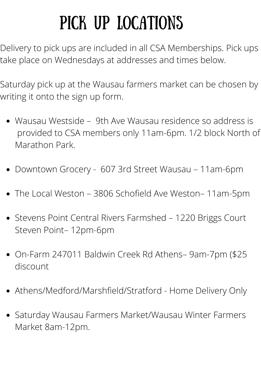## PICK UP LOCATIONS

Delivery to pick ups are included in all CSA Memberships. Pick ups take place on Wednesdays at addresses and times below.

Saturday pick up at the Wausau farmers market can be chosen by writing it onto the sign up form.

- Wausau Westside 9th Ave Wausau residence so address is provided to CSA members only 11am-6pm. 1/2 block North of Marathon Park.
- Downtown Grocery 607 3rd Street Wausau 11am-6pm
- The Local Weston 3806 Schofield Ave Weston– 11am-5pm
- Stevens Point Central Rivers Farmshed 1220 Briggs Court Steven Point– 12pm-6pm
- On-Farm 247011 Baldwin Creek Rd Athens– 9am-7pm (\$25 discount
- Athens/Medford/Marshfield/Stratford Home Delivery Only
- Saturday Wausau Farmers Market/Wausau Winter Farmers Market 8am-12pm.